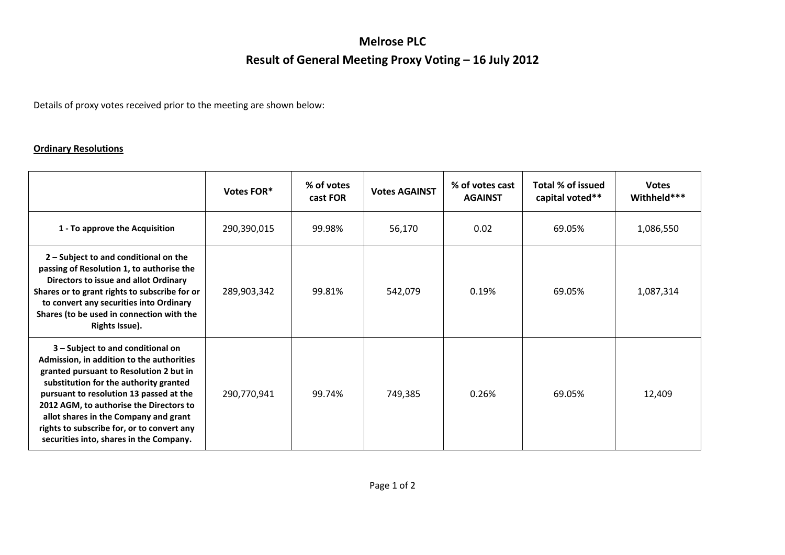## **Melrose PLC Result of General Meeting Proxy Voting – 16 July 2012**

Details of proxy votes received prior to the meeting are shown below:

## **Ordinary Resolutions**

|                                                                                                                                                                                                                                                                                                                                                                                             | Votes FOR*  | % of votes<br>cast FOR | <b>Votes AGAINST</b> | % of votes cast<br><b>AGAINST</b> | Total % of issued<br>capital voted** | <b>Votes</b><br>Withheld*** |
|---------------------------------------------------------------------------------------------------------------------------------------------------------------------------------------------------------------------------------------------------------------------------------------------------------------------------------------------------------------------------------------------|-------------|------------------------|----------------------|-----------------------------------|--------------------------------------|-----------------------------|
| 1 - To approve the Acquisition                                                                                                                                                                                                                                                                                                                                                              | 290,390,015 | 99.98%                 | 56,170               | 0.02                              | 69.05%                               | 1,086,550                   |
| $2$ – Subject to and conditional on the<br>passing of Resolution 1, to authorise the<br>Directors to issue and allot Ordinary<br>Shares or to grant rights to subscribe for or<br>to convert any securities into Ordinary<br>Shares (to be used in connection with the<br>Rights Issue).                                                                                                    | 289,903,342 | 99.81%                 | 542,079              | 0.19%                             | 69.05%                               | 1,087,314                   |
| 3 - Subject to and conditional on<br>Admission, in addition to the authorities<br>granted pursuant to Resolution 2 but in<br>substitution for the authority granted<br>pursuant to resolution 13 passed at the<br>2012 AGM, to authorise the Directors to<br>allot shares in the Company and grant<br>rights to subscribe for, or to convert any<br>securities into, shares in the Company. | 290,770,941 | 99.74%                 | 749,385              | 0.26%                             | 69.05%                               | 12,409                      |